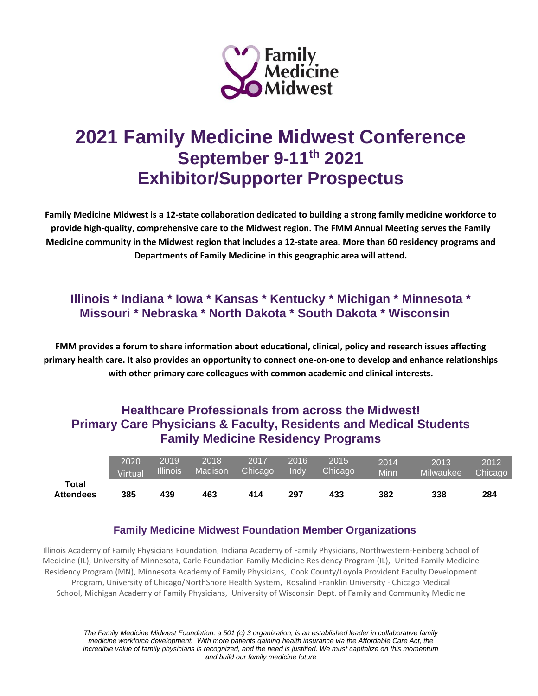

# **2021 Family Medicine Midwest Conference September 9-11th 2021 Exhibitor/Supporter Prospectus**

**Family Medicine Midwest is a 12-state collaboration dedicated to building a strong family medicine workforce to provide high-quality, comprehensive care to the Midwest region. The FMM Annual Meeting serves the Family Medicine community in the Midwest region that includes a 12-state area. More than 60 residency programs and Departments of Family Medicine in this geographic area will attend.**

## **Illinois \* Indiana \* Iowa \* Kansas \* Kentucky \* Michigan \* Minnesota \* Missouri \* Nebraska \* North Dakota \* South Dakota \* Wisconsin**

**FMM provides a forum to share information about educational, clinical, policy and research issues affecting primary health care. It also provides an opportunity to connect one-on-one to develop and enhance relationships with other primary care colleagues with common academic and clinical interests.**

## **Healthcare Professionals from across the Midwest! Primary Care Physicians & Faculty, Residents and Medical Students Family Medicine Residency Programs**

|                           | 2020    | 2019     | 2018    | 2017                 | 2016  | 2015    | 2014 | 2013             | 2012    |
|---------------------------|---------|----------|---------|----------------------|-------|---------|------|------------------|---------|
|                           | Virtual | Illinois | Madison | Chicago <sup>1</sup> | Indv. | Chicago | Minn | <b>Milwaukee</b> | Chicago |
| Total<br><b>Attendees</b> | 385     | 439      | 463     | 414                  | 297   | 433     | 382  | 338              | 284     |

#### **Family Medicine Midwest Foundation Member Organizations**

Illinois Academy of Family Physicians Foundation, Indiana Academy of Family Physicians, Northwestern-Feinberg School of Medicine (IL), University of Minnesota, Carle Foundation Family Medicine Residency Program (IL), United Family Medicine Residency Program (MN), Minnesota Academy of Family Physicians, Cook County/Loyola Provident Faculty Development Program, University of Chicago/NorthShore Health System, Rosalind Franklin University - Chicago Medical School, Michigan Academy of Family Physicians, University of Wisconsin Dept. of Family and Community Medicine

*The Family Medicine Midwest Foundation, a 501 (c) 3 organization, is an established leader in collaborative family medicine workforce development. With more patients gaining health insurance via the Affordable Care Act, the incredible value of family physicians is recognized, and the need is justified. We must capitalize on this momentum and build our family medicine future*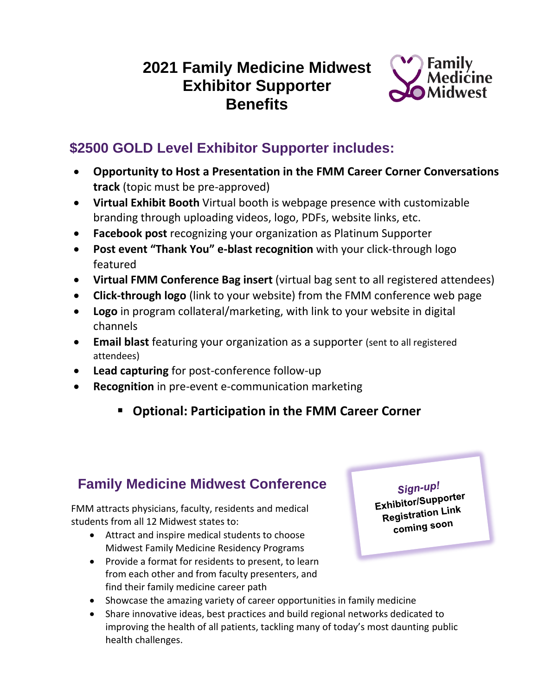## **2021 Family Medicine Midwest Exhibitor Supporter Benefits**



## **\$2500 GOLD Level Exhibitor Supporter includes:**

- **Opportunity to Host a Presentation in the FMM Career Corner Conversations track** (topic must be pre-approved)
- **Virtual Exhibit Booth** Virtual booth is webpage presence with customizable branding through uploading videos, logo, PDFs, website links, etc.
- **Facebook post** recognizing your organization as Platinum Supporter
- **Post event "Thank You" e-blast recognition** with your click-through logo featured
- **Virtual FMM Conference Bag insert** (virtual bag sent to all registered attendees)
- **Click-through logo** (link to your website) from the FMM conference web page
- **Logo** in program collateral/marketing, with link to your website in digital channels
- **Email blast** featuring your organization as a supporter (sent to all registered attendees)
- **Lead capturing** for post-conference follow-up
- **Recognition** in pre-event e-communication marketing
	- **Optional: Participation in the FMM Career Corner**

## **Family Medicine Midwest Conference**

FMM attracts physicians, faculty, residents and medical students from all 12 Midwest states to:

- Attract and inspire medical students to choose Midwest Family Medicine Residency Programs
- Provide a format for residents to present, to learn from each other and from faculty presenters, and find their family medicine career path
- Showcase the amazing variety of career opportunities in family medicine
- Share innovative ideas, best practices and build regional networks dedicated to improving the health of all patients, tackling many of today's most daunting public health challenges.

Sign-up!

Exhibitor/Supporter **xhipitoncery**<br>Registration Link coming soon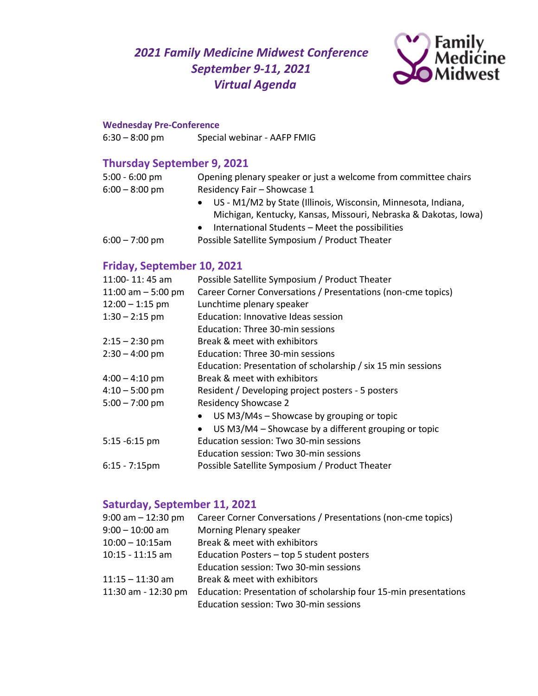*2021 Family Medicine Midwest Conference September 9-11, 2021 Virtual Agenda*



#### **Wednesday Pre-Conference**

6:30 – 8:00 pm Special webinar - AAFP FMIG

### **Thursday September 9, 2021**

| $5:00 - 6:00$ pm | Opening plenary speaker or just a welcome from committee chairs |
|------------------|-----------------------------------------------------------------|
| $6:00 - 8:00$ pm | Residency Fair - Showcase 1                                     |
|                  | • US - M1/M2 by State (Illinois, Wisconsin, Minnesota, Indiana, |
|                  | Michigan, Kentucky, Kansas, Missouri, Nebraska & Dakotas, Iowa) |
|                  | International Students - Meet the possibilities                 |
| $6:00 - 7:00$ pm | Possible Satellite Symposium / Product Theater                  |

### **Friday, September 10, 2021**

| 11:00-11:45 am      | Possible Satellite Symposium / Product Theater                    |
|---------------------|-------------------------------------------------------------------|
| 11:00 am $-5:00$ pm | Career Corner Conversations / Presentations (non-cme topics)      |
| $12:00 - 1:15$ pm   | Lunchtime plenary speaker                                         |
| $1:30 - 2:15$ pm    | Education: Innovative Ideas session                               |
|                     | Education: Three 30-min sessions                                  |
| $2:15 - 2:30$ pm    | Break & meet with exhibitors                                      |
| $2:30 - 4:00$ pm    | Education: Three 30-min sessions                                  |
|                     | Education: Presentation of scholarship / six 15 min sessions      |
| $4:00 - 4:10$ pm    | Break & meet with exhibitors                                      |
| $4:10 - 5:00$ pm    | Resident / Developing project posters - 5 posters                 |
| $5:00 - 7:00$ pm    | <b>Residency Showcase 2</b>                                       |
|                     | US M3/M4s - Showcase by grouping or topic                         |
|                     | US M3/M4 – Showcase by a different grouping or topic<br>$\bullet$ |
| 5:15 -6:15 pm       | Education session: Two 30-min sessions                            |
|                     | Education session: Two 30-min sessions                            |
| $6:15 - 7:15$ pm    | Possible Satellite Symposium / Product Theater                    |
|                     |                                                                   |

### **Saturday, September 11, 2021**

| Career Corner Conversations / Presentations (non-cme topics)                                               |
|------------------------------------------------------------------------------------------------------------|
| Morning Plenary speaker                                                                                    |
| Break & meet with exhibitors                                                                               |
| Education Posters - top 5 student posters                                                                  |
| Education session: Two 30-min sessions                                                                     |
| Break & meet with exhibitors                                                                               |
| Education: Presentation of scholarship four 15-min presentations<br>Education session: Two 30-min sessions |
|                                                                                                            |